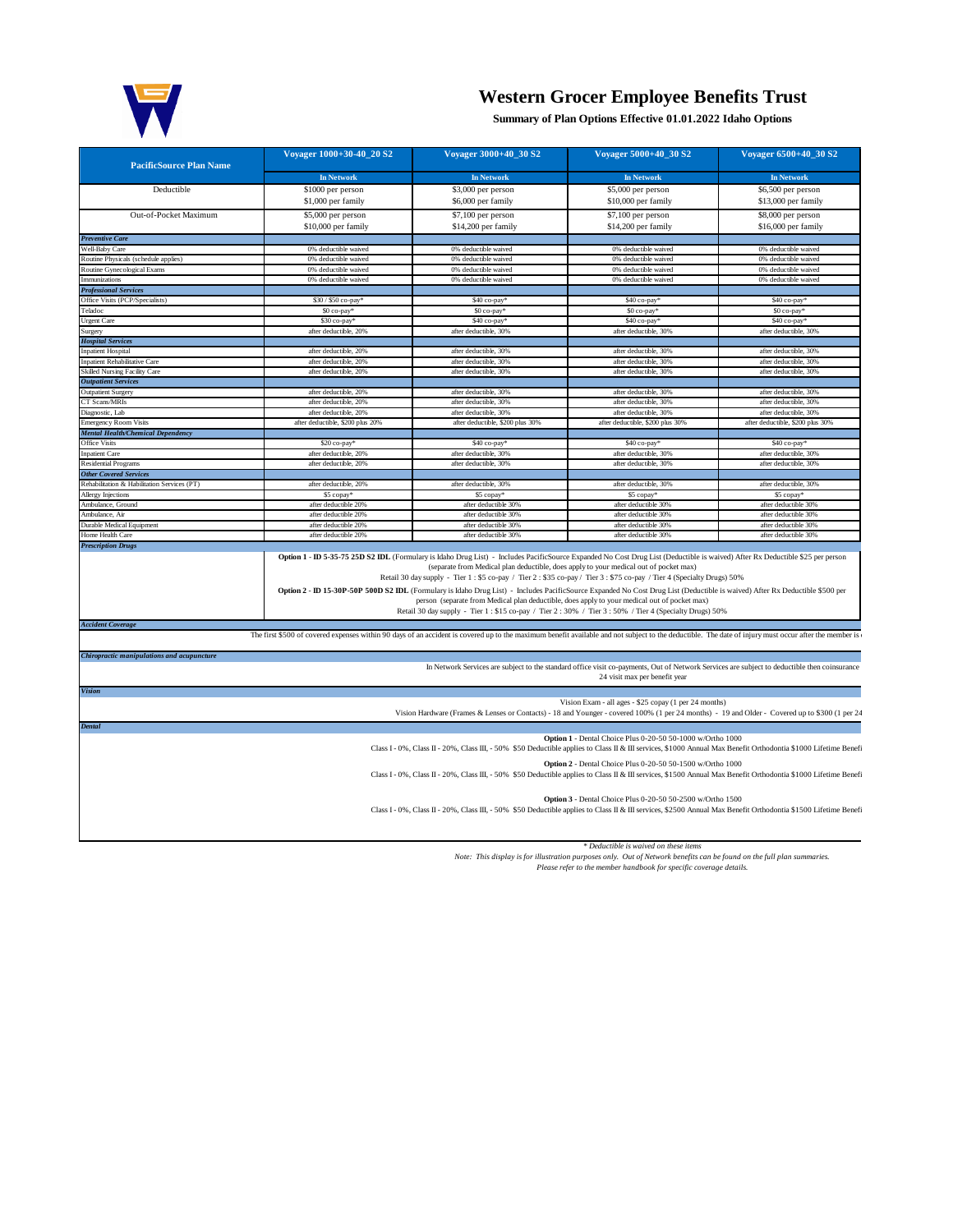

## **Western Grocer Employee Benefits Trust**

**Summary of Plan Options Effective 01.01.2022 Idaho Options**

| <b>PacificSource Plan Name</b>                                           | Voyager 1000+30-40 20 S2                                                                                                                                                                              | Voyager 3000+40_30 S2                                                                                                                                                                                                                                                                                                                                                                                                                                                                                                                                                                                                                                                                                                                                                                          | Voyager 5000+40_30 S2                                                                                                                                                         | Voyager 6500+40_30 S2                          |
|--------------------------------------------------------------------------|-------------------------------------------------------------------------------------------------------------------------------------------------------------------------------------------------------|------------------------------------------------------------------------------------------------------------------------------------------------------------------------------------------------------------------------------------------------------------------------------------------------------------------------------------------------------------------------------------------------------------------------------------------------------------------------------------------------------------------------------------------------------------------------------------------------------------------------------------------------------------------------------------------------------------------------------------------------------------------------------------------------|-------------------------------------------------------------------------------------------------------------------------------------------------------------------------------|------------------------------------------------|
|                                                                          | In Network                                                                                                                                                                                            | <b>In Network</b>                                                                                                                                                                                                                                                                                                                                                                                                                                                                                                                                                                                                                                                                                                                                                                              | <b>In Network</b>                                                                                                                                                             | <b>In Network</b>                              |
| Deductible                                                               | \$1000 per person                                                                                                                                                                                     | \$3,000 per person                                                                                                                                                                                                                                                                                                                                                                                                                                                                                                                                                                                                                                                                                                                                                                             | \$5,000 per person                                                                                                                                                            | \$6,500 per person                             |
|                                                                          | \$1,000 per family                                                                                                                                                                                    | \$6,000 per family                                                                                                                                                                                                                                                                                                                                                                                                                                                                                                                                                                                                                                                                                                                                                                             | \$10,000 per family                                                                                                                                                           | \$13,000 per family                            |
| Out-of-Pocket Maximum                                                    | \$5,000 per person                                                                                                                                                                                    | \$7,100 per person                                                                                                                                                                                                                                                                                                                                                                                                                                                                                                                                                                                                                                                                                                                                                                             | \$7,100 per person                                                                                                                                                            | \$8,000 per person                             |
|                                                                          | \$10,000 per family                                                                                                                                                                                   | \$14,200 per family                                                                                                                                                                                                                                                                                                                                                                                                                                                                                                                                                                                                                                                                                                                                                                            | \$14,200 per family                                                                                                                                                           | \$16,000 per family                            |
| <b>Preventive Care</b>                                                   |                                                                                                                                                                                                       |                                                                                                                                                                                                                                                                                                                                                                                                                                                                                                                                                                                                                                                                                                                                                                                                |                                                                                                                                                                               |                                                |
| Well-Baby Care                                                           | 0% deductible waived                                                                                                                                                                                  | 0% deductible waived                                                                                                                                                                                                                                                                                                                                                                                                                                                                                                                                                                                                                                                                                                                                                                           | 0% deductible waived                                                                                                                                                          | 0% deductible waived                           |
| Routine Physicals (schedule applies)                                     | 0% deductible waived                                                                                                                                                                                  | 0% deductible waived                                                                                                                                                                                                                                                                                                                                                                                                                                                                                                                                                                                                                                                                                                                                                                           | 0% deductible waived                                                                                                                                                          | 0% deductible waived                           |
| Routine Gynecological Exams                                              | 0% deductible waived                                                                                                                                                                                  | 0% deductible waived                                                                                                                                                                                                                                                                                                                                                                                                                                                                                                                                                                                                                                                                                                                                                                           | 0% deductible waived                                                                                                                                                          | 0% deductible waived                           |
| Immunizations                                                            | 0% deductible waived                                                                                                                                                                                  | 0% deductible waived                                                                                                                                                                                                                                                                                                                                                                                                                                                                                                                                                                                                                                                                                                                                                                           | 0% deductible waived                                                                                                                                                          | 0% deductible waived                           |
| <b>Professional Services</b>                                             |                                                                                                                                                                                                       |                                                                                                                                                                                                                                                                                                                                                                                                                                                                                                                                                                                                                                                                                                                                                                                                |                                                                                                                                                                               |                                                |
| Office Visits (PCP/Specialists)                                          | \$30 / \$50 co-pay*                                                                                                                                                                                   | \$40 co-pay*                                                                                                                                                                                                                                                                                                                                                                                                                                                                                                                                                                                                                                                                                                                                                                                   | \$40 co-pay*                                                                                                                                                                  | \$40 co-pay*                                   |
| Teladoc                                                                  | \$0 co-pay*                                                                                                                                                                                           | \$0 co-pay*                                                                                                                                                                                                                                                                                                                                                                                                                                                                                                                                                                                                                                                                                                                                                                                    | \$0 co-pay*                                                                                                                                                                   | \$0 co-pay*                                    |
| <b>Urgent Care</b>                                                       | \$30 co-pay <sup>®</sup>                                                                                                                                                                              | \$40 co-pay <sup>®</sup>                                                                                                                                                                                                                                                                                                                                                                                                                                                                                                                                                                                                                                                                                                                                                                       | \$40 co-pay <sup>®</sup>                                                                                                                                                      | \$40 co-pay                                    |
| Surgery                                                                  | after deductible, 20%                                                                                                                                                                                 | after deductible, 30%                                                                                                                                                                                                                                                                                                                                                                                                                                                                                                                                                                                                                                                                                                                                                                          | after deductible, 30%                                                                                                                                                         | after deductible, 30%                          |
| <b>Hospital Services</b>                                                 |                                                                                                                                                                                                       |                                                                                                                                                                                                                                                                                                                                                                                                                                                                                                                                                                                                                                                                                                                                                                                                |                                                                                                                                                                               |                                                |
| <b>Inpatient Hospital</b>                                                | after deductible, 20%                                                                                                                                                                                 | after deductible, 30%                                                                                                                                                                                                                                                                                                                                                                                                                                                                                                                                                                                                                                                                                                                                                                          | after deductible, 30%                                                                                                                                                         | after deductible, 30%                          |
| <b>Inpatient Rehabilitative Care</b>                                     | after deductible, 20%                                                                                                                                                                                 | after deductible, 30%                                                                                                                                                                                                                                                                                                                                                                                                                                                                                                                                                                                                                                                                                                                                                                          | after deductible, 30%                                                                                                                                                         | after deductible, 30%                          |
| <b>Skilled Nursing Facility Care</b>                                     | after deductible, 20%                                                                                                                                                                                 | after deductible, 30%                                                                                                                                                                                                                                                                                                                                                                                                                                                                                                                                                                                                                                                                                                                                                                          | after deductible, 30%                                                                                                                                                         | after deductible, 30%                          |
| <b>Outpatient Services</b>                                               |                                                                                                                                                                                                       |                                                                                                                                                                                                                                                                                                                                                                                                                                                                                                                                                                                                                                                                                                                                                                                                |                                                                                                                                                                               |                                                |
| <b>Outpatient Surgery</b>                                                | after deductible, 20%                                                                                                                                                                                 | after deductible, 30%                                                                                                                                                                                                                                                                                                                                                                                                                                                                                                                                                                                                                                                                                                                                                                          | after deductible, 30%                                                                                                                                                         | after deductible, 30%                          |
| CT Scans/MRIs                                                            | after deductible, 20%<br>after deductible. 20%                                                                                                                                                        | after deductible, 30%<br>after deductible. 30%                                                                                                                                                                                                                                                                                                                                                                                                                                                                                                                                                                                                                                                                                                                                                 | after deductible, 30%<br>after deductible. 30%                                                                                                                                | after deductible, 30%<br>after deductible, 30% |
| Diagnostic, Lab                                                          |                                                                                                                                                                                                       |                                                                                                                                                                                                                                                                                                                                                                                                                                                                                                                                                                                                                                                                                                                                                                                                |                                                                                                                                                                               |                                                |
| <b>Emergency Room Visits</b><br><b>Mental Health/Chemical Dependency</b> | after deductible, \$200 plus 20%                                                                                                                                                                      | after deductible, \$200 plus 30%                                                                                                                                                                                                                                                                                                                                                                                                                                                                                                                                                                                                                                                                                                                                                               | after deductible, \$200 plus 30%                                                                                                                                              | after deductible, \$200 plus 30%               |
| <b>Office Visits</b>                                                     | \$20 co-pay*                                                                                                                                                                                          | \$40 co-pay*                                                                                                                                                                                                                                                                                                                                                                                                                                                                                                                                                                                                                                                                                                                                                                                   | \$40 co-pay*                                                                                                                                                                  | \$40 co-pay*                                   |
| <b>Innatient Care</b>                                                    | after deductible, 20%                                                                                                                                                                                 | after deductible, 30%                                                                                                                                                                                                                                                                                                                                                                                                                                                                                                                                                                                                                                                                                                                                                                          | after deductible, 30%                                                                                                                                                         | after deductible, 30%                          |
| <b>Residential Programs</b>                                              | after deductible, 20%                                                                                                                                                                                 | after deductible, 30%                                                                                                                                                                                                                                                                                                                                                                                                                                                                                                                                                                                                                                                                                                                                                                          | after deductible, 30%                                                                                                                                                         | after deductible, 30%                          |
| <b>Other Covered Services</b>                                            |                                                                                                                                                                                                       |                                                                                                                                                                                                                                                                                                                                                                                                                                                                                                                                                                                                                                                                                                                                                                                                |                                                                                                                                                                               |                                                |
| Rehabilitation & Habilitation Services (PT)                              | after deductible, 20%                                                                                                                                                                                 | after deductible, 30%                                                                                                                                                                                                                                                                                                                                                                                                                                                                                                                                                                                                                                                                                                                                                                          | after deductible, 30%                                                                                                                                                         | after deductible, 30%                          |
| Allergy Injections                                                       | \$5 copay*                                                                                                                                                                                            | \$5 copay <sup>®</sup>                                                                                                                                                                                                                                                                                                                                                                                                                                                                                                                                                                                                                                                                                                                                                                         | \$5 copay                                                                                                                                                                     | \$5 copay*                                     |
| Ambulance, Ground                                                        | after deductible 20%                                                                                                                                                                                  | after deductible 30%                                                                                                                                                                                                                                                                                                                                                                                                                                                                                                                                                                                                                                                                                                                                                                           | after deductible 30%                                                                                                                                                          | after deductible 30%                           |
| Ambulance, Air                                                           | after deductible 20%                                                                                                                                                                                  | after deductible 30%                                                                                                                                                                                                                                                                                                                                                                                                                                                                                                                                                                                                                                                                                                                                                                           | after deductible 30%                                                                                                                                                          | after deductible 30%                           |
| Durable Medical Equipment                                                | after deductible 20%                                                                                                                                                                                  | after deductible 30%                                                                                                                                                                                                                                                                                                                                                                                                                                                                                                                                                                                                                                                                                                                                                                           | after deductible 30%                                                                                                                                                          | after deductible 30%                           |
| Home Health Care                                                         | after deductible 20%                                                                                                                                                                                  | after deductible 30%                                                                                                                                                                                                                                                                                                                                                                                                                                                                                                                                                                                                                                                                                                                                                                           | after deductible 30%                                                                                                                                                          | after deductible 30%                           |
| <b>Prescription Drugs</b>                                                |                                                                                                                                                                                                       | Option 1 - ID 5-35-75 25D S2 IDL (Formulary is Idaho Drug List) - Includes PacificSource Expanded No Cost Drug List (Deductible is waived) After Rx Deductible \$25 per person<br>(separate from Medical plan deductible, does apply to your medical out of pocket max)<br>Retail 30 day supply - Tier 1 : \$5 co-pay / Tier 2 : \$35 co-pay / Tier 3 : \$75 co-pay / Tier 4 (Specialty Drugs) 50%<br>Option 2 - ID 15-30P-50P 500D S2 IDL (Formulary is Idaho Drug List) - Includes PacificSource Expanded No Cost Drug List (Deductible is waived) After Rx Deductible \$500 per<br>person (separate from Medical plan deductible, does apply to your medical out of pocket max)<br>Retail 30 day supply - Tier 1 : \$15 co-pay / Tier 2 : 30% / Tier 3 : 50% / Tier 4 (Specialty Drugs) 50% |                                                                                                                                                                               |                                                |
|                                                                          |                                                                                                                                                                                                       |                                                                                                                                                                                                                                                                                                                                                                                                                                                                                                                                                                                                                                                                                                                                                                                                |                                                                                                                                                                               |                                                |
| <b>Accident Coverage</b>                                                 | The first \$500 of covered expenses within 90 days of an accident is covered up to the maximum benefit available and not subject to the deductible. The date of injury must occur after the member is |                                                                                                                                                                                                                                                                                                                                                                                                                                                                                                                                                                                                                                                                                                                                                                                                |                                                                                                                                                                               |                                                |
| Chiropractic manipulations and acupuncture                               |                                                                                                                                                                                                       |                                                                                                                                                                                                                                                                                                                                                                                                                                                                                                                                                                                                                                                                                                                                                                                                | In Network Services are subject to the standard office visit co-payments, Out of Network Services are subject to deductible then coinsurance<br>24 visit max per benefit year |                                                |
| <b>Vision</b>                                                            |                                                                                                                                                                                                       |                                                                                                                                                                                                                                                                                                                                                                                                                                                                                                                                                                                                                                                                                                                                                                                                |                                                                                                                                                                               |                                                |
|                                                                          |                                                                                                                                                                                                       |                                                                                                                                                                                                                                                                                                                                                                                                                                                                                                                                                                                                                                                                                                                                                                                                | Vision Exam - all ages - \$25 copay (1 per 24 months)                                                                                                                         |                                                |
|                                                                          |                                                                                                                                                                                                       | Vision Hardware (Frames & Lenses or Contacts) - 18 and Younger - covered 100% (1 per 24 months) - 19 and Older - Covered up to \$300 (1 per 24                                                                                                                                                                                                                                                                                                                                                                                                                                                                                                                                                                                                                                                 |                                                                                                                                                                               |                                                |
| <b>Dental</b>                                                            |                                                                                                                                                                                                       | Class I - 0%, Class II - 20%, Class III, - 50% \$50 Deductible applies to Class II & III services, \$1000 Annual Max Benefit Orthodontia \$1000 Lifetime Benefi                                                                                                                                                                                                                                                                                                                                                                                                                                                                                                                                                                                                                                | <b>Option 1</b> - Dental Choice Plus 0-20-50 50-1000 w/Ortho 1000                                                                                                             |                                                |
|                                                                          |                                                                                                                                                                                                       | Class I - 0%, Class II - 20%, Class III, - 50% \$50 Deductible applies to Class II & III services, \$1500 Annual Max Benefit Orthodontia \$1000 Lifetime Benefi                                                                                                                                                                                                                                                                                                                                                                                                                                                                                                                                                                                                                                | Option 2 - Dental Choice Plus 0-20-50 50-1500 w/Ortho 1000                                                                                                                    |                                                |
|                                                                          |                                                                                                                                                                                                       |                                                                                                                                                                                                                                                                                                                                                                                                                                                                                                                                                                                                                                                                                                                                                                                                | Option 3 - Dental Choice Plus 0-20-50 50-2500 w/Ortho 1500                                                                                                                    |                                                |

Deductible is waived on these items<br>Note: This display is for illustration purposes only. Out of Network benefits can be found on the full plan summaries.<br>Please refer to the member handbook for specific coverage details.